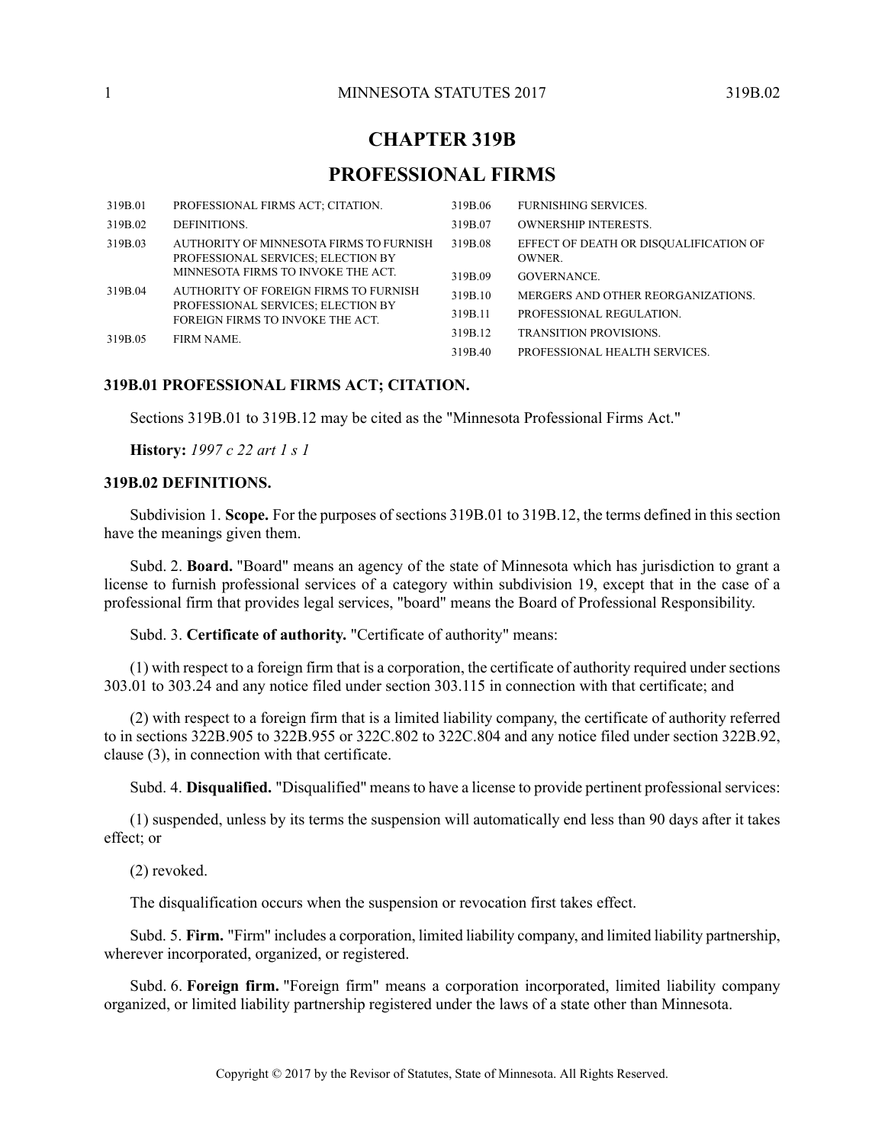# **CHAPTER 319B**

# **PROFESSIONAL FIRMS**

| 319B.01 | PROFESSIONAL FIRMS ACT; CITATION.                                             | 319B.06 | <b>FURNISHING SERVICES.</b>                            |
|---------|-------------------------------------------------------------------------------|---------|--------------------------------------------------------|
| 319B.02 | DEFINITIONS.                                                                  | 319B.07 | <b>OWNERSHIP INTERESTS.</b>                            |
| 319B.03 | AUTHORITY OF MINNESOTA FIRMS TO FURNISH<br>PROFESSIONAL SERVICES; ELECTION BY | 319B.08 | EFFECT OF DEATH OR DISOUALIFICATION OF<br><b>OWNER</b> |
|         | MINNESOTA FIRMS TO INVOKE THE ACT.                                            | 319B.09 | <b>GOVERNANCE</b>                                      |
| 319B.04 | AUTHORITY OF FOREIGN FIRMS TO FURNISH<br>PROFESSIONAL SERVICES; ELECTION BY   | 319B.10 | MERGERS AND OTHER REORGANIZATIONS.                     |
|         | FOREIGN FIRMS TO INVOKE THE ACT.                                              | 319B.11 | PROFESSIONAL REGULATION.                               |
| 319B.05 | <b>FIRM NAME.</b>                                                             | 319B.12 | <b>TRANSITION PROVISIONS</b>                           |
|         |                                                                               | 319B.40 | PROFESSIONAL HEALTH SERVICES.                          |

## <span id="page-0-1"></span><span id="page-0-0"></span>**319B.01 PROFESSIONAL FIRMS ACT; CITATION.**

Sections 319B.01 to 319B.12 may be cited as the "Minnesota Professional Firms Act."

**History:** *1997 c 22 art 1 s 1*

### **319B.02 DEFINITIONS.**

Subdivision 1. **Scope.** For the purposes of sections 319B.01 to 319B.12, the terms defined in this section have the meanings given them.

Subd. 2. **Board.** "Board" means an agency of the state of Minnesota which has jurisdiction to grant a license to furnish professional services of a category within subdivision 19, except that in the case of a professional firm that provides legal services, "board" means the Board of Professional Responsibility.

Subd. 3. **Certificate of authority.** "Certificate of authority" means:

(1) with respect to a foreign firm that is a corporation, the certificate of authority required under sections 303.01 to 303.24 and any notice filed under section 303.115 in connection with that certificate; and

(2) with respect to a foreign firm that is a limited liability company, the certificate of authority referred to in sections 322B.905 to 322B.955 or 322C.802 to 322C.804 and any notice filed under section 322B.92, clause (3), in connection with that certificate.

Subd. 4. **Disqualified.** "Disqualified" means to have a license to provide pertinent professional services:

(1) suspended, unless by its terms the suspension will automatically end less than 90 days after it takes effect; or

(2) revoked.

The disqualification occurs when the suspension or revocation first takes effect.

Subd. 5. **Firm.** "Firm" includes a corporation, limited liability company, and limited liability partnership, wherever incorporated, organized, or registered.

Subd. 6. **Foreign firm.** "Foreign firm" means a corporation incorporated, limited liability company organized, or limited liability partnership registered under the laws of a state other than Minnesota.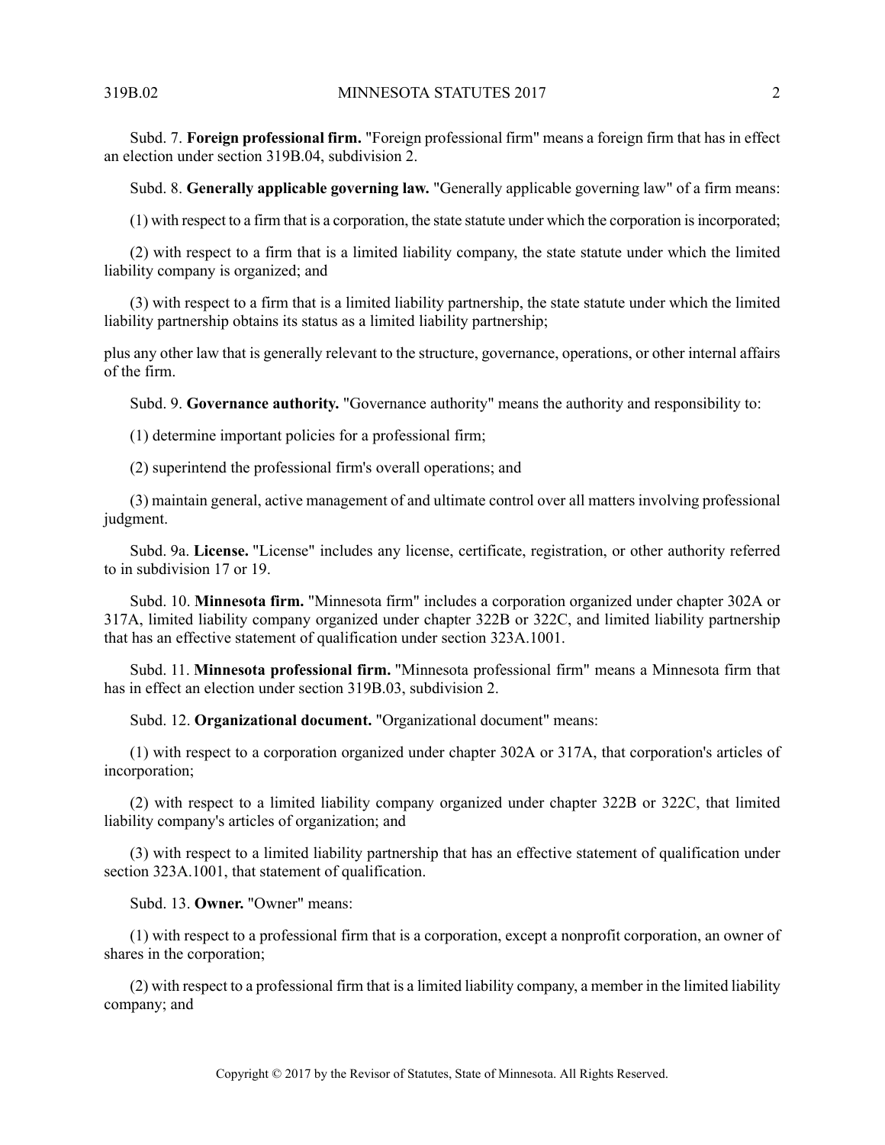Subd. 7. **Foreign professional firm.** "Foreign professional firm" means a foreign firm that has in effect an election under section 319B.04, subdivision 2.

Subd. 8. **Generally applicable governing law.** "Generally applicable governing law" of a firm means:

(1) with respect to a firm that is a corporation, the state statute under which the corporation isincorporated;

(2) with respect to a firm that is a limited liability company, the state statute under which the limited liability company is organized; and

(3) with respect to a firm that is a limited liability partnership, the state statute under which the limited liability partnership obtains its status as a limited liability partnership;

plus any other law that is generally relevant to the structure, governance, operations, or other internal affairs of the firm.

Subd. 9. **Governance authority.** "Governance authority" means the authority and responsibility to:

(1) determine important policies for a professional firm;

(2) superintend the professional firm's overall operations; and

(3) maintain general, active management of and ultimate control over all matters involving professional judgment.

Subd. 9a. **License.** "License" includes any license, certificate, registration, or other authority referred to in subdivision 17 or 19.

Subd. 10. **Minnesota firm.** "Minnesota firm" includes a corporation organized under chapter 302A or 317A, limited liability company organized under chapter 322B or 322C, and limited liability partnership that has an effective statement of qualification under section 323A.1001.

Subd. 11. **Minnesota professional firm.** "Minnesota professional firm" means a Minnesota firm that has in effect an election under section 319B.03, subdivision 2.

Subd. 12. **Organizational document.** "Organizational document" means:

(1) with respect to a corporation organized under chapter 302A or 317A, that corporation's articles of incorporation;

(2) with respect to a limited liability company organized under chapter 322B or 322C, that limited liability company's articles of organization; and

(3) with respect to a limited liability partnership that has an effective statement of qualification under section 323A.1001, that statement of qualification.

Subd. 13. **Owner.** "Owner" means:

(1) with respect to a professional firm that is a corporation, except a nonprofit corporation, an owner of shares in the corporation;

(2) with respect to a professional firm that is a limited liability company, a member in the limited liability company; and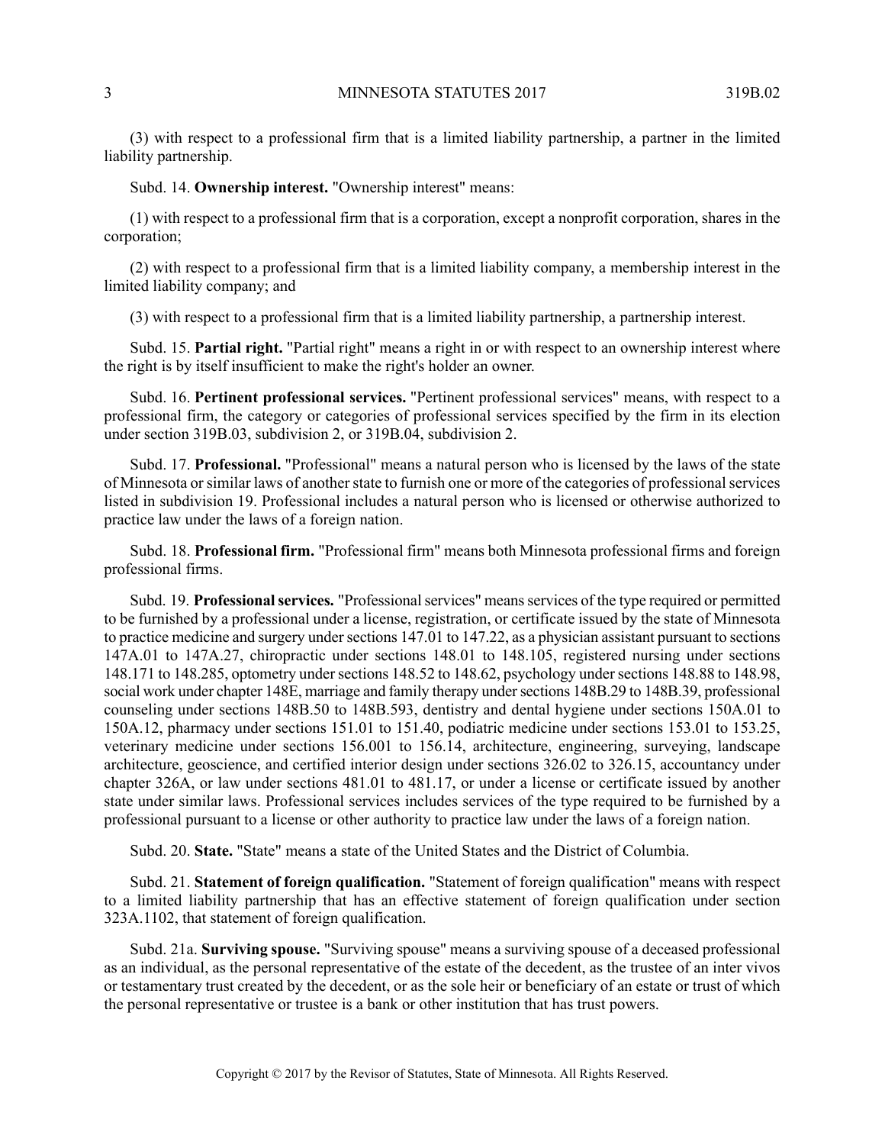(3) with respect to a professional firm that is a limited liability partnership, a partner in the limited liability partnership.

Subd. 14. **Ownership interest.** "Ownership interest" means:

(1) with respect to a professional firm that is a corporation, except a nonprofit corporation, shares in the corporation;

(2) with respect to a professional firm that is a limited liability company, a membership interest in the limited liability company; and

(3) with respect to a professional firm that is a limited liability partnership, a partnership interest.

Subd. 15. **Partial right.** "Partial right" means a right in or with respect to an ownership interest where the right is by itself insufficient to make the right's holder an owner.

Subd. 16. **Pertinent professional services.** "Pertinent professional services" means, with respect to a professional firm, the category or categories of professional services specified by the firm in its election under section 319B.03, subdivision 2, or 319B.04, subdivision 2.

Subd. 17. **Professional.** "Professional" means a natural person who is licensed by the laws of the state of Minnesota orsimilar laws of anotherstate to furnish one or more of the categories of professionalservices listed in subdivision 19. Professional includes a natural person who is licensed or otherwise authorized to practice law under the laws of a foreign nation.

Subd. 18. **Professional firm.** "Professional firm" means both Minnesota professional firms and foreign professional firms.

Subd. 19. **Professional services.** "Professional services" means services of the type required or permitted to be furnished by a professional under a license, registration, or certificate issued by the state of Minnesota to practice medicine and surgery under sections 147.01 to 147.22, as a physician assistant pursuant to sections 147A.01 to 147A.27, chiropractic under sections 148.01 to 148.105, registered nursing under sections 148.171 to 148.285, optometry undersections 148.52 to 148.62, psychology undersections 148.88 to 148.98, social work under chapter 148E, marriage and family therapy under sections 148B.29 to 148B.39, professional counseling under sections 148B.50 to 148B.593, dentistry and dental hygiene under sections 150A.01 to 150A.12, pharmacy under sections 151.01 to 151.40, podiatric medicine under sections 153.01 to 153.25, veterinary medicine under sections 156.001 to 156.14, architecture, engineering, surveying, landscape architecture, geoscience, and certified interior design under sections 326.02 to 326.15, accountancy under chapter 326A, or law under sections 481.01 to 481.17, or under a license or certificate issued by another state under similar laws. Professional services includes services of the type required to be furnished by a professional pursuant to a license or other authority to practice law under the laws of a foreign nation.

Subd. 20. **State.** "State" means a state of the United States and the District of Columbia.

Subd. 21. **Statement of foreign qualification.** "Statement of foreign qualification" means with respect to a limited liability partnership that has an effective statement of foreign qualification under section 323A.1102, that statement of foreign qualification.

Subd. 21a. **Surviving spouse.** "Surviving spouse" means a surviving spouse of a deceased professional as an individual, as the personal representative of the estate of the decedent, as the trustee of an inter vivos or testamentary trust created by the decedent, or as the sole heir or beneficiary of an estate or trust of which the personal representative or trustee is a bank or other institution that has trust powers.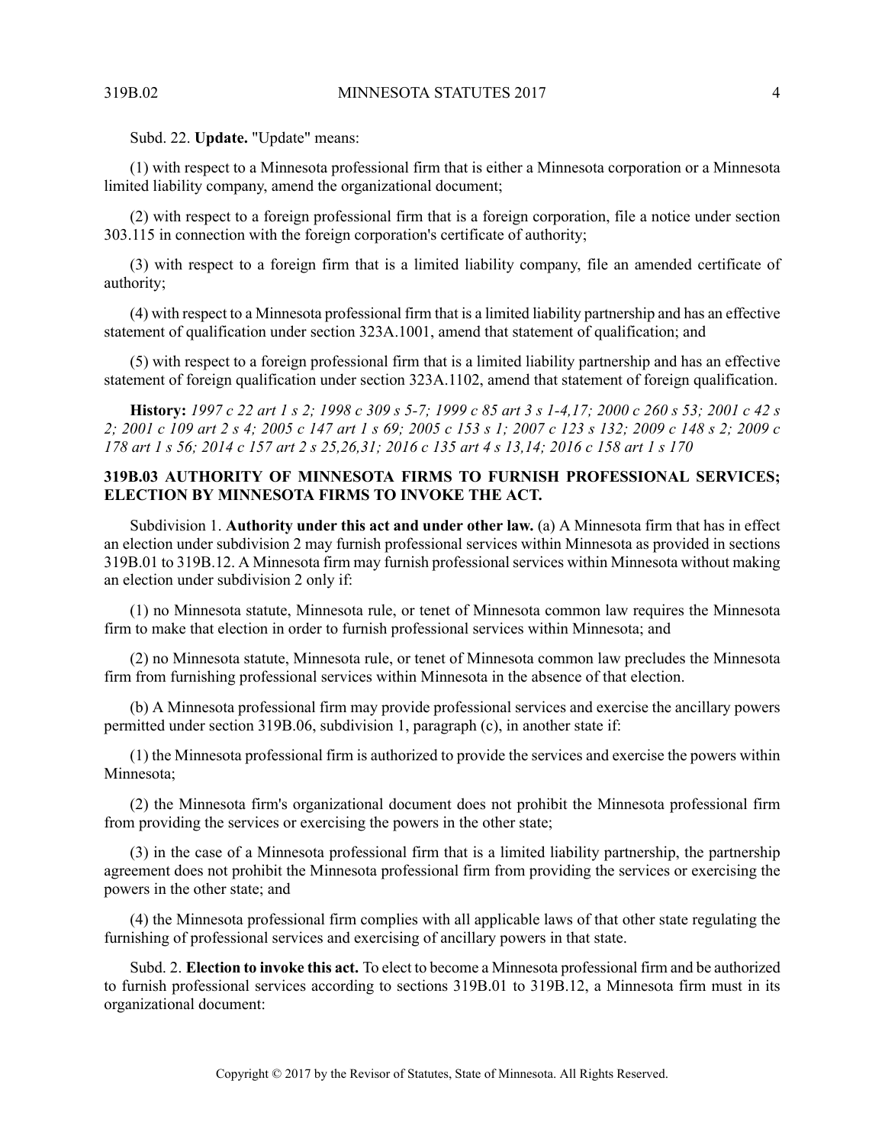Subd. 22. **Update.** "Update" means:

(1) with respect to a Minnesota professional firm that is either a Minnesota corporation or a Minnesota limited liability company, amend the organizational document;

(2) with respect to a foreign professional firm that is a foreign corporation, file a notice under section 303.115 in connection with the foreign corporation's certificate of authority;

(3) with respect to a foreign firm that is a limited liability company, file an amended certificate of authority;

(4) with respect to a Minnesota professional firm that is a limited liability partnership and has an effective statement of qualification under section 323A.1001, amend that statement of qualification; and

(5) with respect to a foreign professional firm that is a limited liability partnership and has an effective statement of foreign qualification under section 323A.1102, amend that statement of foreign qualification.

<span id="page-3-0"></span>**History:** 1997 c 22 art 1 s 2; 1998 c 309 s 5-7; 1999 c 85 art 3 s 1-4,17; 2000 c 260 s 53; 2001 c 42 s 2; 2001 c 109 art 2 s 4; 2005 c 147 art 1 s 69; 2005 c 153 s 1; 2007 c 123 s 132; 2009 c 148 s 2; 2009 c 178 art 1 s 56; 2014 c 157 art 2 s 25, 26, 31; 2016 c 135 art 4 s 13, 14; 2016 c 158 art 1 s 170

# **319B.03 AUTHORITY OF MINNESOTA FIRMS TO FURNISH PROFESSIONAL SERVICES; ELECTION BY MINNESOTA FIRMS TO INVOKE THE ACT.**

Subdivision 1. **Authority under this act and under other law.** (a) A Minnesota firm that has in effect an election under subdivision 2 may furnish professional services within Minnesota as provided in sections 319B.01 to 319B.12. A Minnesota firm may furnish professional services within Minnesota without making an election under subdivision 2 only if:

(1) no Minnesota statute, Minnesota rule, or tenet of Minnesota common law requires the Minnesota firm to make that election in order to furnish professional services within Minnesota; and

(2) no Minnesota statute, Minnesota rule, or tenet of Minnesota common law precludes the Minnesota firm from furnishing professional services within Minnesota in the absence of that election.

(b) A Minnesota professional firm may provide professional services and exercise the ancillary powers permitted under section 319B.06, subdivision 1, paragraph (c), in another state if:

(1) the Minnesota professional firm is authorized to provide the services and exercise the powers within Minnesota;

(2) the Minnesota firm's organizational document does not prohibit the Minnesota professional firm from providing the services or exercising the powers in the other state;

(3) in the case of a Minnesota professional firm that is a limited liability partnership, the partnership agreement does not prohibit the Minnesota professional firm from providing the services or exercising the powers in the other state; and

(4) the Minnesota professional firm complies with all applicable laws of that other state regulating the furnishing of professional services and exercising of ancillary powers in that state.

Subd. 2. **Election to invoke this act.** To elect to become a Minnesota professional firm and be authorized to furnish professional services according to sections 319B.01 to 319B.12, a Minnesota firm must in its organizational document: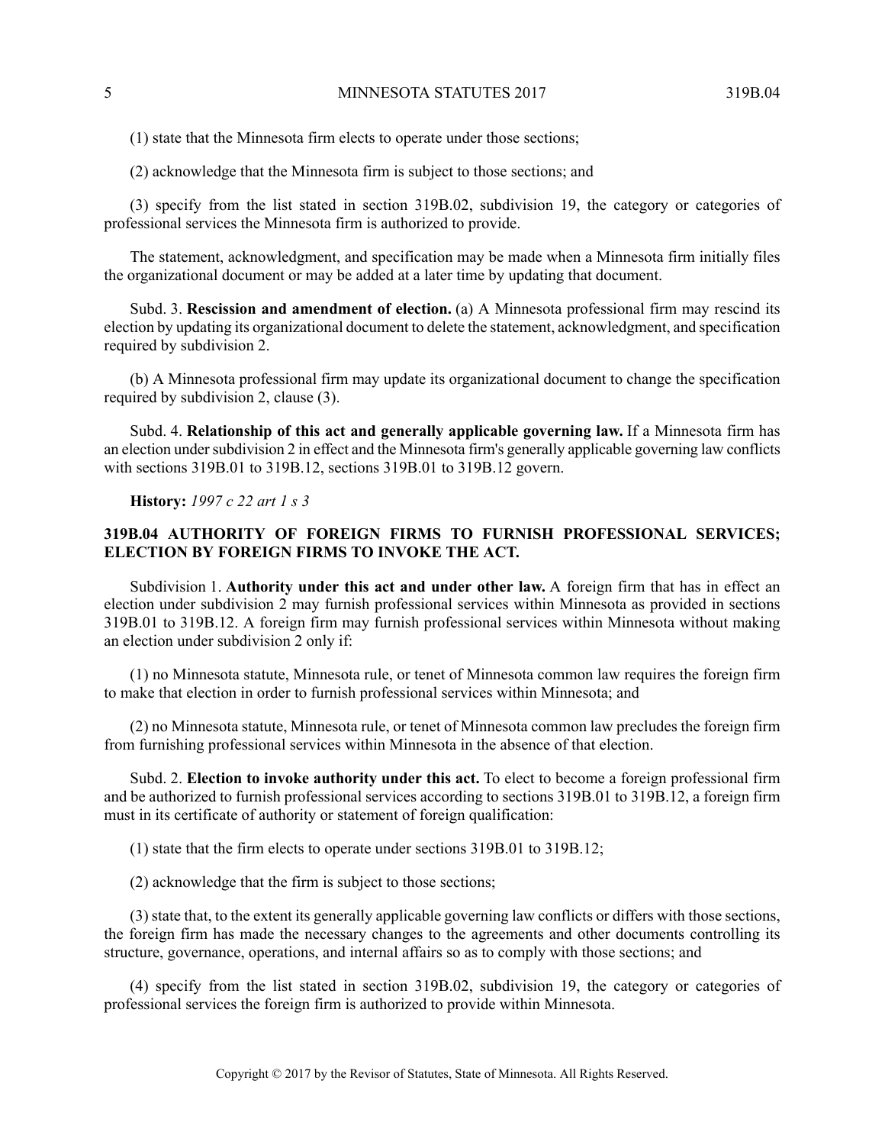(1) state that the Minnesota firm elects to operate under those sections;

(2) acknowledge that the Minnesota firm is subject to those sections; and

(3) specify from the list stated in section 319B.02, subdivision 19, the category or categories of professional services the Minnesota firm is authorized to provide.

The statement, acknowledgment, and specification may be made when a Minnesota firm initially files the organizational document or may be added at a later time by updating that document.

Subd. 3. **Rescission and amendment of election.** (a) A Minnesota professional firm may rescind its election by updating its organizational document to delete the statement, acknowledgment, and specification required by subdivision 2.

(b) A Minnesota professional firm may update its organizational document to change the specification required by subdivision 2, clause (3).

<span id="page-4-0"></span>Subd. 4. **Relationship of this act and generally applicable governing law.** If a Minnesota firm has an election under subdivision 2 in effect and the Minnesota firm's generally applicable governing law conflicts with sections 319B.01 to 319B.12, sections 319B.01 to 319B.12 govern.

**History:** *1997 c 22 art 1 s 3*

# **319B.04 AUTHORITY OF FOREIGN FIRMS TO FURNISH PROFESSIONAL SERVICES; ELECTION BY FOREIGN FIRMS TO INVOKE THE ACT.**

Subdivision 1. **Authority under this act and under other law.** A foreign firm that has in effect an election under subdivision 2 may furnish professional services within Minnesota as provided in sections 319B.01 to 319B.12. A foreign firm may furnish professional services within Minnesota without making an election under subdivision 2 only if:

(1) no Minnesota statute, Minnesota rule, or tenet of Minnesota common law requires the foreign firm to make that election in order to furnish professional services within Minnesota; and

(2) no Minnesota statute, Minnesota rule, or tenet of Minnesota common law precludes the foreign firm from furnishing professional services within Minnesota in the absence of that election.

Subd. 2. **Election to invoke authority under this act.** To elect to become a foreign professional firm and be authorized to furnish professional services according to sections 319B.01 to 319B.12, a foreign firm must in its certificate of authority or statement of foreign qualification:

(1) state that the firm elects to operate under sections 319B.01 to 319B.12;

(2) acknowledge that the firm is subject to those sections;

(3) state that, to the extent its generally applicable governing law conflicts or differs with those sections, the foreign firm has made the necessary changes to the agreements and other documents controlling its structure, governance, operations, and internal affairs so as to comply with those sections; and

(4) specify from the list stated in section 319B.02, subdivision 19, the category or categories of professional services the foreign firm is authorized to provide within Minnesota.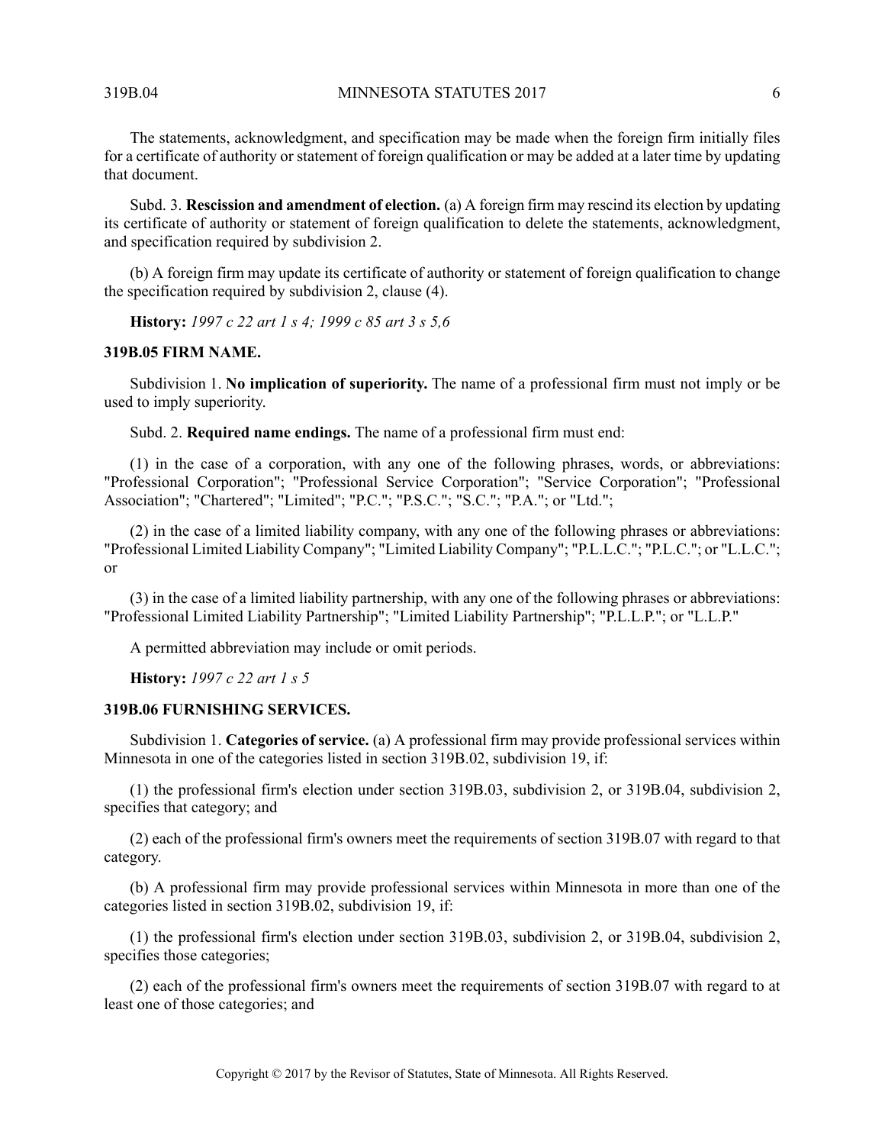The statements, acknowledgment, and specification may be made when the foreign firm initially files for a certificate of authority or statement of foreign qualification or may be added at a later time by updating that document.

Subd. 3. **Rescission and amendment of election.** (a) A foreign firm may rescind its election by updating its certificate of authority or statement of foreign qualification to delete the statements, acknowledgment, and specification required by subdivision 2.

<span id="page-5-0"></span>(b) A foreign firm may update its certificate of authority or statement of foreign qualification to change the specification required by subdivision 2, clause (4).

**History:** *1997 c 22 art 1 s 4; 1999 c 85 art 3 s 5,6*

#### **319B.05 FIRM NAME.**

Subdivision 1. **No implication of superiority.** The name of a professional firm must not imply or be used to imply superiority.

Subd. 2. **Required name endings.** The name of a professional firm must end:

(1) in the case of a corporation, with any one of the following phrases, words, or abbreviations: "Professional Corporation"; "Professional Service Corporation"; "Service Corporation"; "Professional Association"; "Chartered"; "Limited"; "P.C."; "P.S.C."; "S.C."; "P.A."; or "Ltd.";

(2) in the case of a limited liability company, with any one of the following phrases or abbreviations: "Professional Limited Liability Company"; "Limited Liability Company"; "P.L.L.C."; "P.L.C."; or "L.L.C."; or

<span id="page-5-1"></span>(3) in the case of a limited liability partnership, with any one of the following phrases or abbreviations: "Professional Limited Liability Partnership"; "Limited Liability Partnership"; "P.L.L.P."; or "L.L.P."

A permitted abbreviation may include or omit periods.

**History:** *1997 c 22 art 1 s 5*

# **319B.06 FURNISHING SERVICES.**

Subdivision 1. **Categories of service.** (a) A professional firm may provide professional services within Minnesota in one of the categories listed in section 319B.02, subdivision 19, if:

(1) the professional firm's election under section 319B.03, subdivision 2, or 319B.04, subdivision 2, specifies that category; and

(2) each of the professional firm's owners meet the requirements of section 319B.07 with regard to that category.

(b) A professional firm may provide professional services within Minnesota in more than one of the categories listed in section 319B.02, subdivision 19, if:

(1) the professional firm's election under section 319B.03, subdivision 2, or 319B.04, subdivision 2, specifies those categories;

(2) each of the professional firm's owners meet the requirements of section 319B.07 with regard to at least one of those categories; and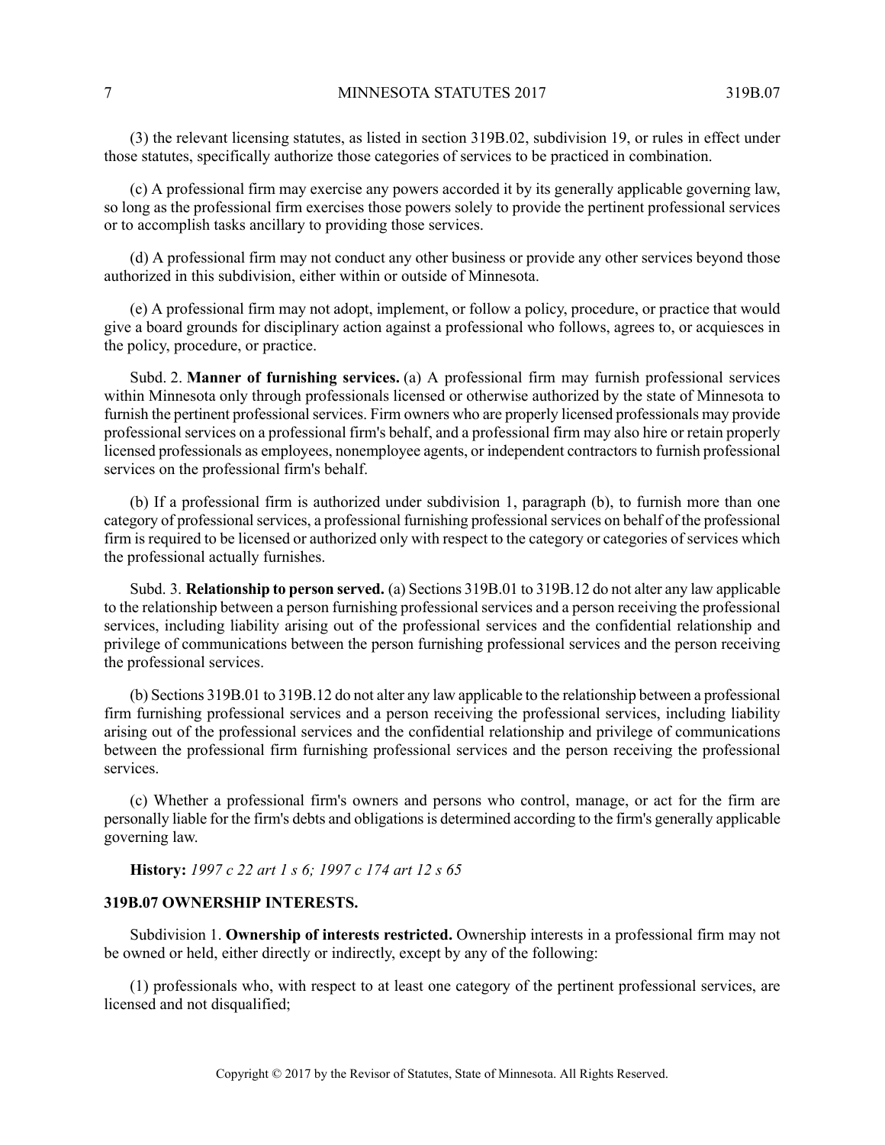(3) the relevant licensing statutes, as listed in section 319B.02, subdivision 19, or rules in effect under those statutes, specifically authorize those categories of services to be practiced in combination.

(c) A professional firm may exercise any powers accorded it by its generally applicable governing law, so long as the professional firm exercises those powers solely to provide the pertinent professional services or to accomplish tasks ancillary to providing those services.

(d) A professional firm may not conduct any other business or provide any other services beyond those authorized in this subdivision, either within or outside of Minnesota.

(e) A professional firm may not adopt, implement, or follow a policy, procedure, or practice that would give a board grounds for disciplinary action against a professional who follows, agrees to, or acquiesces in the policy, procedure, or practice.

Subd. 2. **Manner of furnishing services.** (a) A professional firm may furnish professional services within Minnesota only through professionals licensed or otherwise authorized by the state of Minnesota to furnish the pertinent professional services. Firm owners who are properly licensed professionals may provide professional services on a professional firm's behalf, and a professional firm may also hire or retain properly licensed professionals as employees, nonemployee agents, or independent contractorsto furnish professional services on the professional firm's behalf.

(b) If a professional firm is authorized under subdivision 1, paragraph (b), to furnish more than one category of professional services, a professional furnishing professional services on behalf of the professional firm is required to be licensed or authorized only with respect to the category or categories of services which the professional actually furnishes.

Subd. 3. **Relationship to person served.** (a) Sections 319B.01 to 319B.12 do not alter any law applicable to the relationship between a person furnishing professional services and a person receiving the professional services, including liability arising out of the professional services and the confidential relationship and privilege of communications between the person furnishing professional services and the person receiving the professional services.

(b) Sections 319B.01 to 319B.12 do not alter any law applicable to the relationship between a professional firm furnishing professional services and a person receiving the professional services, including liability arising out of the professional services and the confidential relationship and privilege of communications between the professional firm furnishing professional services and the person receiving the professional services.

<span id="page-6-0"></span>(c) Whether a professional firm's owners and persons who control, manage, or act for the firm are personally liable for the firm's debts and obligations is determined according to the firm's generally applicable governing law.

**History:** *1997 c 22 art 1 s 6; 1997 c 174 art 12 s 65*

## **319B.07 OWNERSHIP INTERESTS.**

Subdivision 1. **Ownership of interests restricted.** Ownership interests in a professional firm may not be owned or held, either directly or indirectly, except by any of the following:

(1) professionals who, with respect to at least one category of the pertinent professional services, are licensed and not disqualified;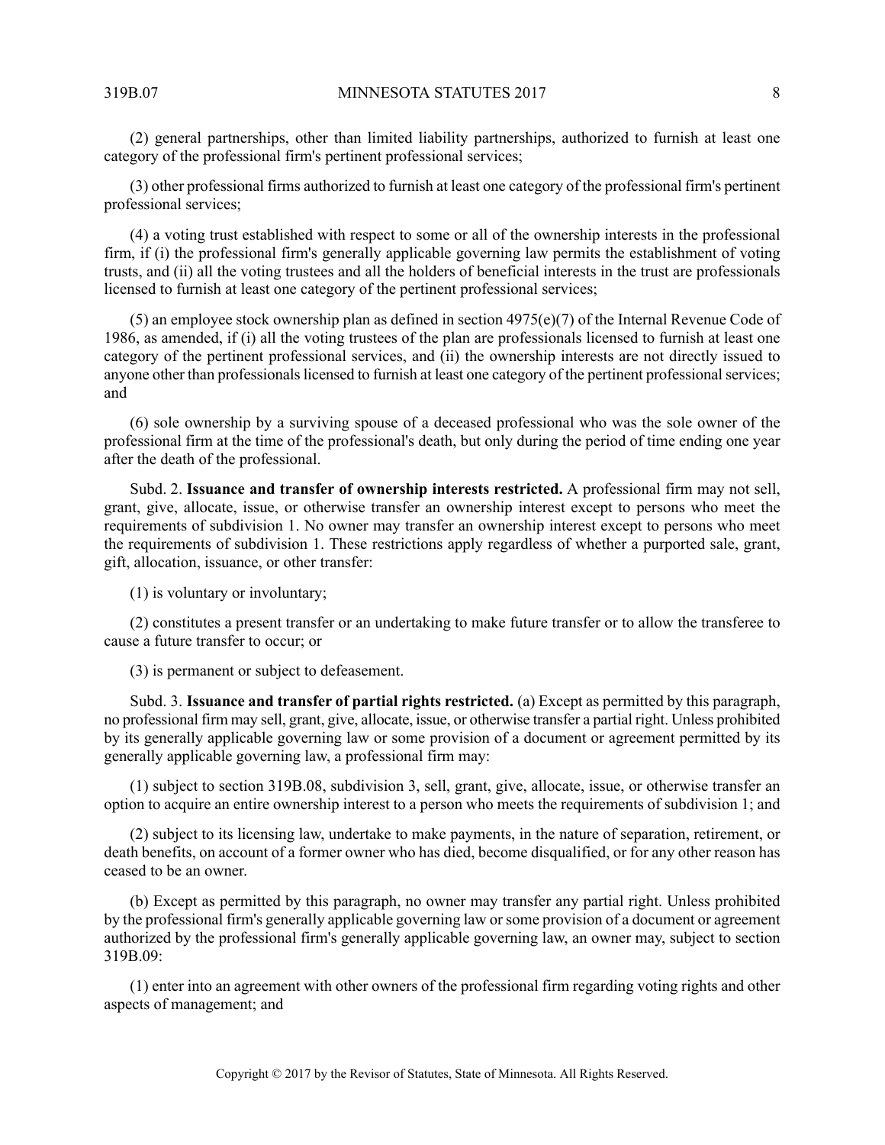(2) general partnerships, other than limited liability partnerships, authorized to furnish at least one category of the professional firm's pertinent professional services;

(3) other professional firms authorized to furnish at least one category of the professional firm's pertinent professional services;

(4) a voting trust established with respect to some or all of the ownership interests in the professional firm, if (i) the professional firm's generally applicable governing law permits the establishment of voting trusts, and (ii) all the voting trustees and all the holders of beneficial interests in the trust are professionals licensed to furnish at least one category of the pertinent professional services;

(5) an employee stock ownership plan as defined in section 4975(e)(7) of the Internal Revenue Code of 1986, as amended, if (i) all the voting trustees of the plan are professionals licensed to furnish at least one category of the pertinent professional services, and (ii) the ownership interests are not directly issued to anyone other than professionals licensed to furnish at least one category of the pertinent professional services; and

(6) sole ownership by a surviving spouse of a deceased professional who was the sole owner of the professional firm at the time of the professional's death, but only during the period of time ending one year after the death of the professional.

Subd. 2. **Issuance and transfer of ownership interests restricted.** A professional firm may not sell, grant, give, allocate, issue, or otherwise transfer an ownership interest except to persons who meet the requirements of subdivision 1. No owner may transfer an ownership interest except to persons who meet the requirements of subdivision 1. These restrictions apply regardless of whether a purported sale, grant, gift, allocation, issuance, or other transfer:

(1) is voluntary or involuntary;

(2) constitutes a present transfer or an undertaking to make future transfer or to allow the transferee to cause a future transfer to occur; or

(3) is permanent or subject to defeasement.

Subd. 3. **Issuance and transfer of partial rights restricted.** (a) Except as permitted by this paragraph, no professional firm may sell, grant, give, allocate, issue, or otherwise transfer a partial right. Unless prohibited by its generally applicable governing law or some provision of a document or agreement permitted by its generally applicable governing law, a professional firm may:

(1) subject to section 319B.08, subdivision 3, sell, grant, give, allocate, issue, or otherwise transfer an option to acquire an entire ownership interest to a person who meets the requirements of subdivision 1; and

(2) subject to its licensing law, undertake to make payments, in the nature of separation, retirement, or death benefits, on account of a former owner who has died, become disqualified, or for any other reason has ceased to be an owner.

(b) Except as permitted by this paragraph, no owner may transfer any partial right. Unless prohibited by the professional firm's generally applicable governing law orsome provision of a document or agreement authorized by the professional firm's generally applicable governing law, an owner may, subject to section 319B.09:

(1) enter into an agreement with other owners of the professional firm regarding voting rights and other aspects of management; and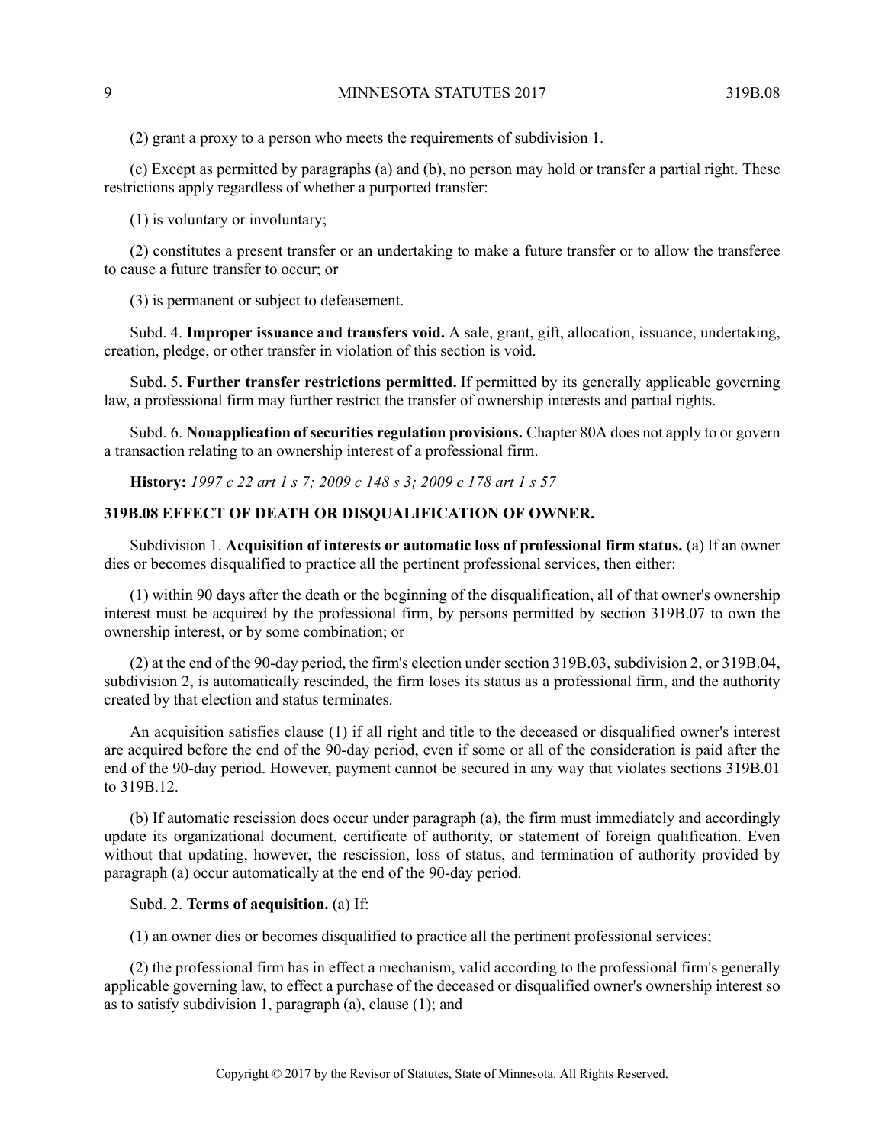(2) grant a proxy to a person who meets the requirements of subdivision 1.

(c) Except as permitted by paragraphs (a) and (b), no person may hold or transfer a partial right. These restrictions apply regardless of whether a purported transfer:

(1) is voluntary or involuntary;

(2) constitutes a present transfer or an undertaking to make a future transfer or to allow the transferee to cause a future transfer to occur; or

(3) is permanent or subject to defeasement.

Subd. 4. **Improper issuance and transfers void.** A sale, grant, gift, allocation, issuance, undertaking, creation, pledge, or other transfer in violation of this section is void.

Subd. 5. **Further transfer restrictions permitted.** If permitted by its generally applicable governing law, a professional firm may further restrict the transfer of ownership interests and partial rights.

<span id="page-8-0"></span>Subd. 6. **Nonapplication of securities regulation provisions.** Chapter 80A does not apply to or govern a transaction relating to an ownership interest of a professional firm.

**History:** *1997 c 22 art 1 s 7; 2009 c 148 s 3; 2009 c 178 art 1 s 57*

## **319B.08 EFFECT OF DEATH OR DISQUALIFICATION OF OWNER.**

Subdivision 1. **Acquisition of interests or automatic loss of professional firm status.** (a) If an owner dies or becomes disqualified to practice all the pertinent professional services, then either:

(1) within 90 days after the death or the beginning of the disqualification, all of that owner's ownership interest must be acquired by the professional firm, by persons permitted by section 319B.07 to own the ownership interest, or by some combination; or

(2) at the end of the 90-day period, the firm's election under section 319B.03, subdivision 2, or 319B.04, subdivision 2, is automatically rescinded, the firm loses its status as a professional firm, and the authority created by that election and status terminates.

An acquisition satisfies clause (1) if all right and title to the deceased or disqualified owner's interest are acquired before the end of the 90-day period, even if some or all of the consideration is paid after the end of the 90-day period. However, payment cannot be secured in any way that violates sections 319B.01 to 319B.12.

(b) If automatic rescission does occur under paragraph (a), the firm must immediately and accordingly update its organizational document, certificate of authority, or statement of foreign qualification. Even without that updating, however, the rescission, loss of status, and termination of authority provided by paragraph (a) occur automatically at the end of the 90-day period.

### Subd. 2. **Terms of acquisition.** (a) If:

(1) an owner dies or becomes disqualified to practice all the pertinent professional services;

(2) the professional firm has in effect a mechanism, valid according to the professional firm's generally applicable governing law, to effect a purchase of the deceased or disqualified owner's ownership interest so as to satisfy subdivision 1, paragraph (a), clause (1); and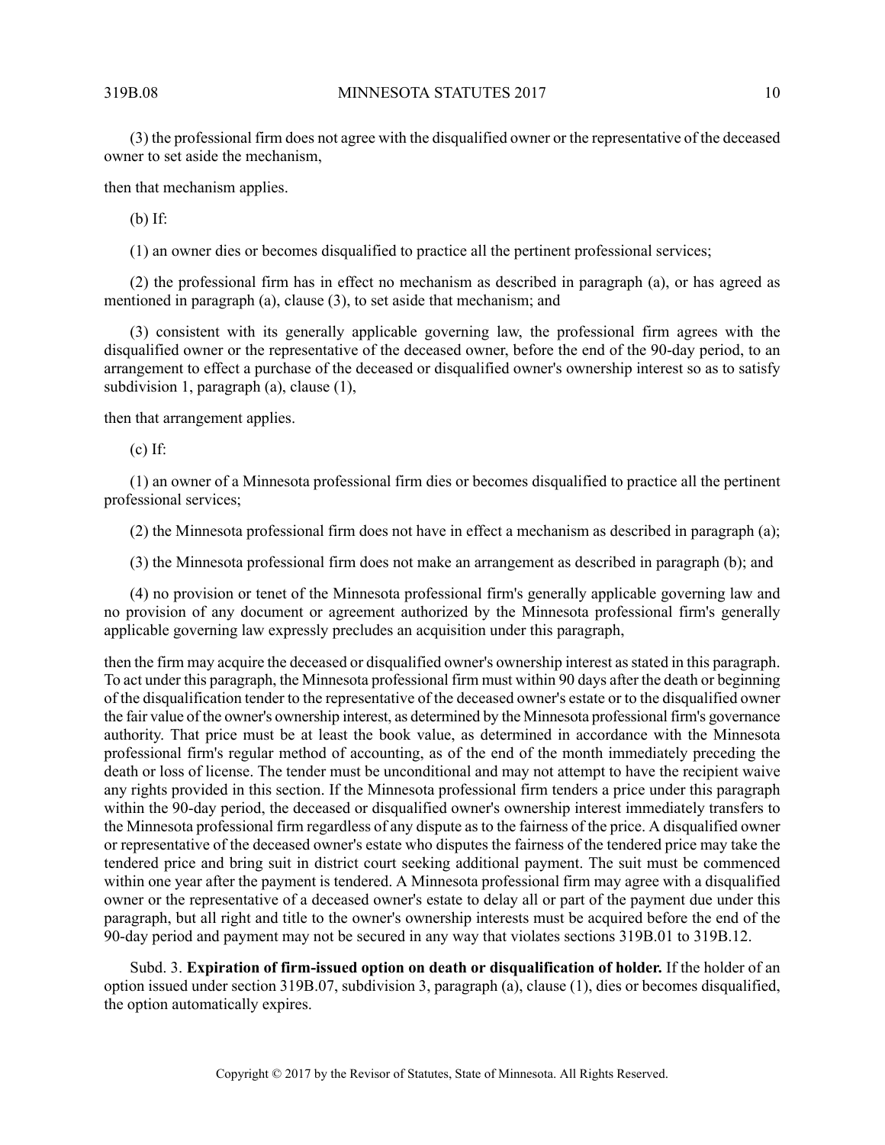(3) the professional firm does not agree with the disqualified owner or the representative of the deceased owner to set aside the mechanism,

then that mechanism applies.

(b) If:

(1) an owner dies or becomes disqualified to practice all the pertinent professional services;

(2) the professional firm has in effect no mechanism as described in paragraph (a), or has agreed as mentioned in paragraph (a), clause (3), to set aside that mechanism; and

(3) consistent with its generally applicable governing law, the professional firm agrees with the disqualified owner or the representative of the deceased owner, before the end of the 90-day period, to an arrangement to effect a purchase of the deceased or disqualified owner's ownership interest so as to satisfy subdivision 1, paragraph (a), clause (1),

then that arrangement applies.

(c) If:

(1) an owner of a Minnesota professional firm dies or becomes disqualified to practice all the pertinent professional services;

(2) the Minnesota professional firm does not have in effect a mechanism as described in paragraph (a);

(3) the Minnesota professional firm does not make an arrangement as described in paragraph (b); and

(4) no provision or tenet of the Minnesota professional firm's generally applicable governing law and no provision of any document or agreement authorized by the Minnesota professional firm's generally applicable governing law expressly precludes an acquisition under this paragraph,

then the firm may acquire the deceased or disqualified owner's ownership interest asstated in this paragraph. To act under this paragraph, the Minnesota professional firm must within 90 days after the death or beginning of the disqualification tender to the representative of the deceased owner's estate or to the disqualified owner the fair value of the owner's ownership interest, as determined by the Minnesota professional firm's governance authority. That price must be at least the book value, as determined in accordance with the Minnesota professional firm's regular method of accounting, as of the end of the month immediately preceding the death or loss of license. The tender must be unconditional and may not attempt to have the recipient waive any rights provided in this section. If the Minnesota professional firm tenders a price under this paragraph within the 90-day period, the deceased or disqualified owner's ownership interest immediately transfers to the Minnesota professional firm regardless of any dispute as to the fairness of the price. A disqualified owner or representative of the deceased owner's estate who disputes the fairness of the tendered price may take the tendered price and bring suit in district court seeking additional payment. The suit must be commenced within one year after the payment is tendered. A Minnesota professional firm may agree with a disqualified owner or the representative of a deceased owner's estate to delay all or part of the payment due under this paragraph, but all right and title to the owner's ownership interests must be acquired before the end of the 90-day period and payment may not be secured in any way that violates sections 319B.01 to 319B.12.

Subd. 3. **Expiration of firm-issued option on death or disqualification of holder.** If the holder of an option issued under section 319B.07, subdivision 3, paragraph (a), clause (1), dies or becomes disqualified, the option automatically expires.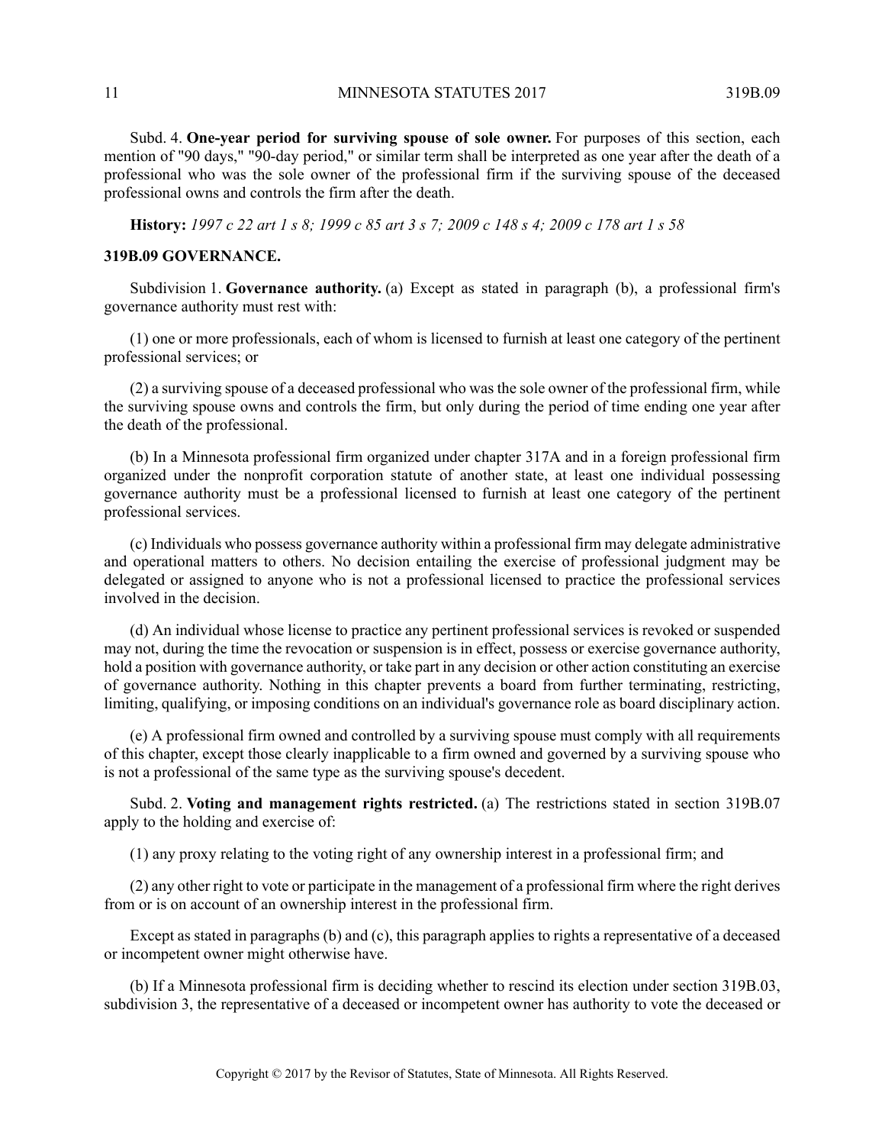11 MINNESOTA STATUTES 2017 319B.09

Subd. 4. **One-year period for surviving spouse of sole owner.** For purposes of this section, each mention of "90 days," "90-day period," or similar term shall be interpreted as one year after the death of a professional who was the sole owner of the professional firm if the surviving spouse of the deceased professional owns and controls the firm after the death.

<span id="page-10-0"></span>History: 1997 c 22 art 1 s 8; 1999 c 85 art 3 s 7; 2009 c 148 s 4; 2009 c 178 art 1 s 58

#### **319B.09 GOVERNANCE.**

Subdivision 1. **Governance authority.** (a) Except as stated in paragraph (b), a professional firm's governance authority must rest with:

(1) one or more professionals, each of whom is licensed to furnish at least one category of the pertinent professional services; or

(2) a surviving spouse of a deceased professional who was the sole owner of the professional firm, while the surviving spouse owns and controls the firm, but only during the period of time ending one year after the death of the professional.

(b) In a Minnesota professional firm organized under chapter 317A and in a foreign professional firm organized under the nonprofit corporation statute of another state, at least one individual possessing governance authority must be a professional licensed to furnish at least one category of the pertinent professional services.

(c) Individuals who possess governance authority within a professional firm may delegate administrative and operational matters to others. No decision entailing the exercise of professional judgment may be delegated or assigned to anyone who is not a professional licensed to practice the professional services involved in the decision.

(d) An individual whose license to practice any pertinent professional services is revoked or suspended may not, during the time the revocation or suspension is in effect, possess or exercise governance authority, hold a position with governance authority, or take part in any decision or other action constituting an exercise of governance authority. Nothing in this chapter prevents a board from further terminating, restricting, limiting, qualifying, or imposing conditions on an individual's governance role as board disciplinary action.

(e) A professional firm owned and controlled by a surviving spouse must comply with all requirements of this chapter, except those clearly inapplicable to a firm owned and governed by a surviving spouse who is not a professional of the same type as the surviving spouse's decedent.

Subd. 2. **Voting and management rights restricted.** (a) The restrictions stated in section 319B.07 apply to the holding and exercise of:

(1) any proxy relating to the voting right of any ownership interest in a professional firm; and

(2) any other right to vote or participate in the management of a professional firm where the right derives from or is on account of an ownership interest in the professional firm.

Except as stated in paragraphs (b) and (c), this paragraph applies to rights a representative of a deceased or incompetent owner might otherwise have.

(b) If a Minnesota professional firm is deciding whether to rescind its election under section 319B.03, subdivision 3, the representative of a deceased or incompetent owner has authority to vote the deceased or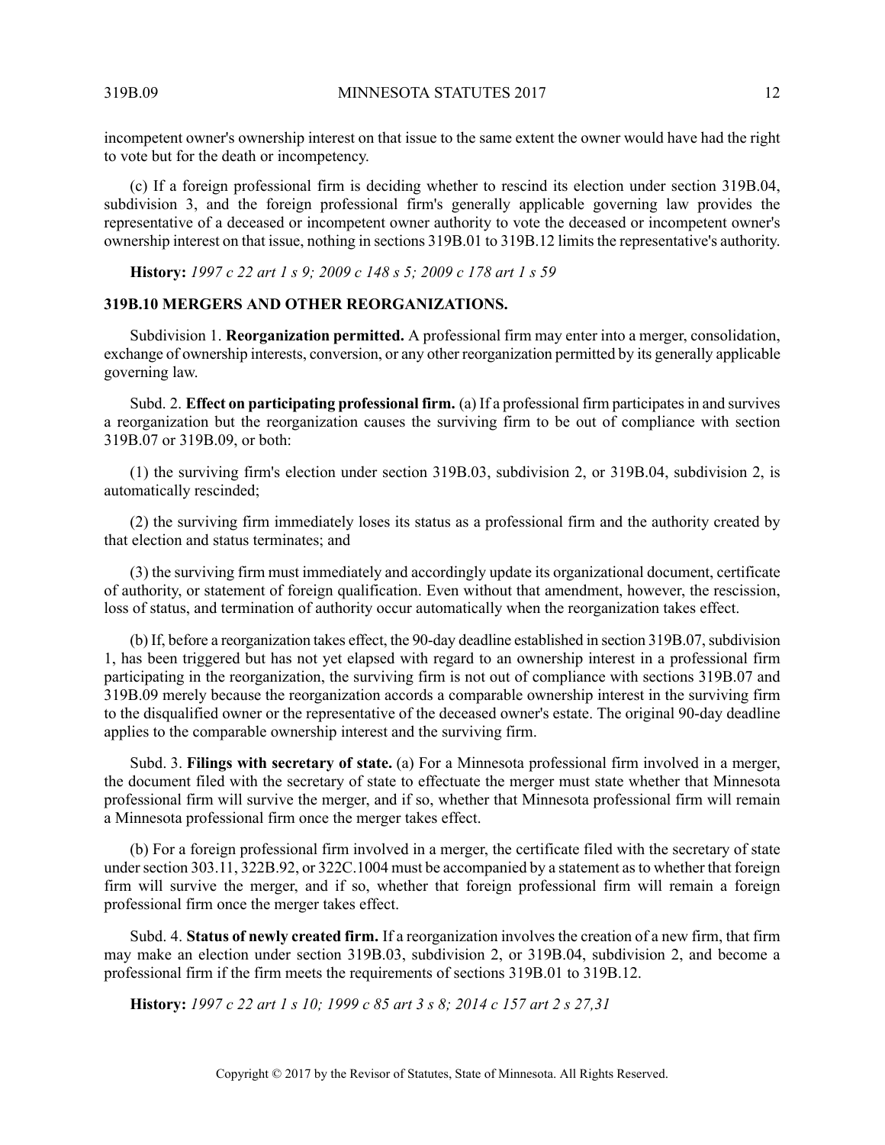incompetent owner's ownership interest on that issue to the same extent the owner would have had the right to vote but for the death or incompetency.

(c) If a foreign professional firm is deciding whether to rescind its election under section 319B.04, subdivision 3, and the foreign professional firm's generally applicable governing law provides the representative of a deceased or incompetent owner authority to vote the deceased or incompetent owner's ownership interest on that issue, nothing in sections 319B.01 to 319B.12 limits the representative's authority.

<span id="page-11-0"></span>**History:** *1997 c 22 art 1 s 9; 2009 c 148 s 5; 2009 c 178 art 1 s 59*

# **319B.10 MERGERS AND OTHER REORGANIZATIONS.**

Subdivision 1. **Reorganization permitted.** A professional firm may enter into a merger, consolidation, exchange of ownership interests, conversion, or any other reorganization permitted by its generally applicable governing law.

Subd. 2. **Effect on participating professional firm.** (a) If a professional firm participatesin and survives a reorganization but the reorganization causes the surviving firm to be out of compliance with section 319B.07 or 319B.09, or both:

(1) the surviving firm's election under section 319B.03, subdivision 2, or 319B.04, subdivision 2, is automatically rescinded;

(2) the surviving firm immediately loses its status as a professional firm and the authority created by that election and status terminates; and

(3) the surviving firm must immediately and accordingly update its organizational document, certificate of authority, or statement of foreign qualification. Even without that amendment, however, the rescission, loss of status, and termination of authority occur automatically when the reorganization takes effect.

(b) If, before a reorganization takes effect, the 90-day deadline established in section 319B.07, subdivision 1, has been triggered but has not yet elapsed with regard to an ownership interest in a professional firm participating in the reorganization, the surviving firm is not out of compliance with sections 319B.07 and 319B.09 merely because the reorganization accords a comparable ownership interest in the surviving firm to the disqualified owner or the representative of the deceased owner's estate. The original 90-day deadline applies to the comparable ownership interest and the surviving firm.

Subd. 3. **Filings with secretary of state.** (a) For a Minnesota professional firm involved in a merger, the document filed with the secretary of state to effectuate the merger must state whether that Minnesota professional firm will survive the merger, and if so, whether that Minnesota professional firm will remain a Minnesota professional firm once the merger takes effect.

(b) For a foreign professional firm involved in a merger, the certificate filed with the secretary of state under section 303.11, 322B.92, or 322C.1004 must be accompanied by a statement as to whether that foreign firm will survive the merger, and if so, whether that foreign professional firm will remain a foreign professional firm once the merger takes effect.

<span id="page-11-1"></span>Subd. 4. **Status of newly created firm.** If a reorganization involves the creation of a new firm, that firm may make an election under section 319B.03, subdivision 2, or 319B.04, subdivision 2, and become a professional firm if the firm meets the requirements of sections 319B.01 to 319B.12.

History: 1997 c 22 art 1 s 10; 1999 c 85 art 3 s 8; 2014 c 157 art 2 s 27,31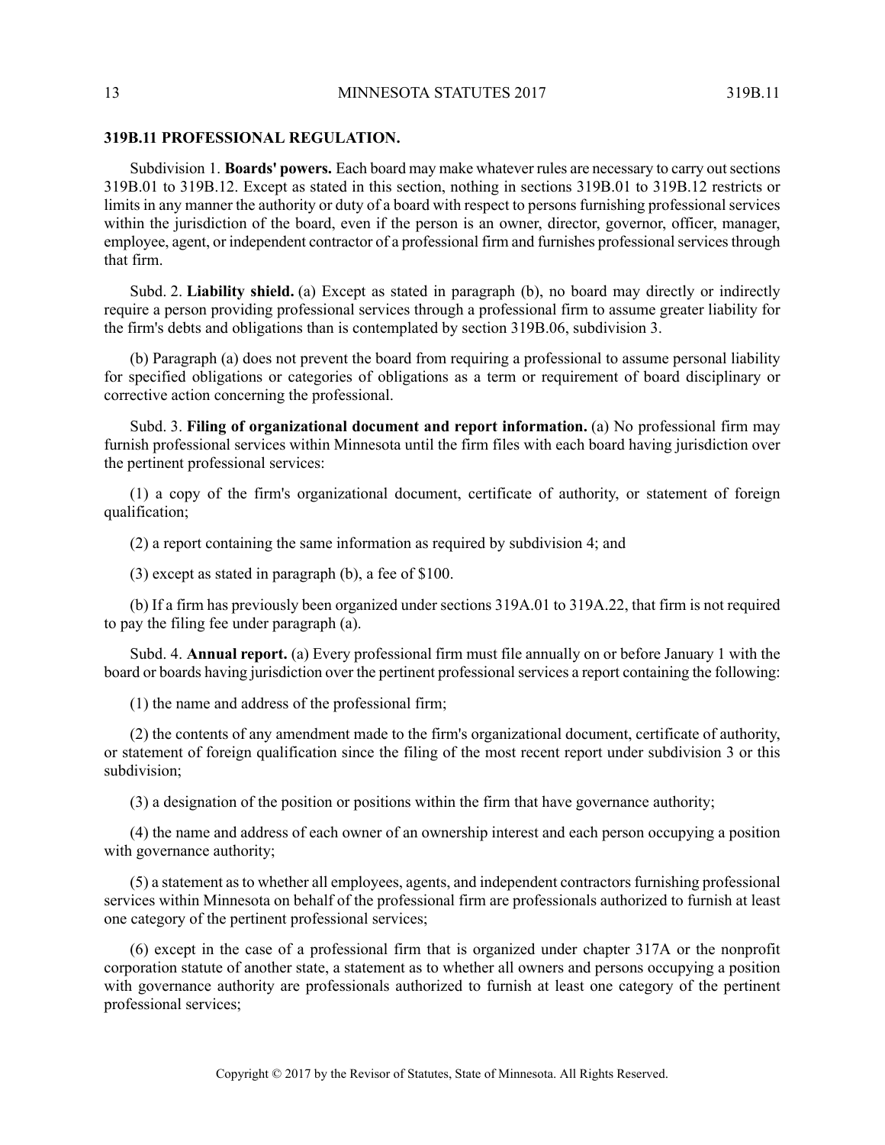#### **319B.11 PROFESSIONAL REGULATION.**

Subdivision 1. **Boards' powers.** Each board may make whatever rules are necessary to carry outsections 319B.01 to 319B.12. Except as stated in this section, nothing in sections 319B.01 to 319B.12 restricts or limits in any manner the authority or duty of a board with respect to persons furnishing professional services within the jurisdiction of the board, even if the person is an owner, director, governor, officer, manager, employee, agent, or independent contractor of a professional firm and furnishes professional services through that firm.

Subd. 2. **Liability shield.** (a) Except as stated in paragraph (b), no board may directly or indirectly require a person providing professional services through a professional firm to assume greater liability for the firm's debts and obligations than is contemplated by section 319B.06, subdivision 3.

(b) Paragraph (a) does not prevent the board from requiring a professional to assume personal liability for specified obligations or categories of obligations as a term or requirement of board disciplinary or corrective action concerning the professional.

Subd. 3. **Filing of organizational document and report information.** (a) No professional firm may furnish professional services within Minnesota until the firm files with each board having jurisdiction over the pertinent professional services:

(1) a copy of the firm's organizational document, certificate of authority, or statement of foreign qualification;

(2) a report containing the same information as required by subdivision 4; and

(3) except as stated in paragraph (b), a fee of \$100.

(b) If a firm has previously been organized under sections 319A.01 to 319A.22, that firm is not required to pay the filing fee under paragraph (a).

Subd. 4. **Annual report.** (a) Every professional firm must file annually on or before January 1 with the board or boards having jurisdiction over the pertinent professional services a report containing the following:

(1) the name and address of the professional firm;

(2) the contents of any amendment made to the firm's organizational document, certificate of authority, or statement of foreign qualification since the filing of the most recent report under subdivision 3 or this subdivision;

(3) a designation of the position or positions within the firm that have governance authority;

(4) the name and address of each owner of an ownership interest and each person occupying a position with governance authority;

(5) a statement as to whether all employees, agents, and independent contractors furnishing professional services within Minnesota on behalf of the professional firm are professionals authorized to furnish at least one category of the pertinent professional services;

(6) except in the case of a professional firm that is organized under chapter 317A or the nonprofit corporation statute of another state, a statement as to whether all owners and persons occupying a position with governance authority are professionals authorized to furnish at least one category of the pertinent professional services;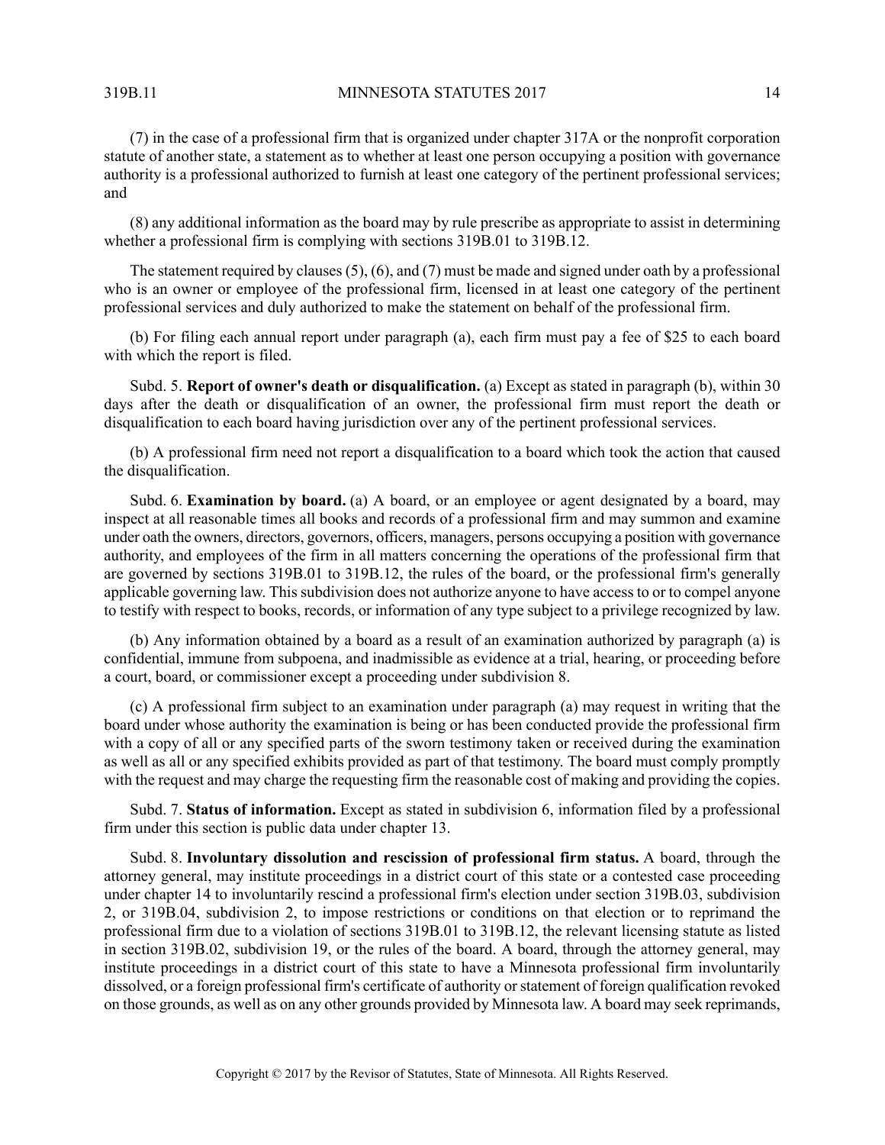319B.11 MINNESOTA STATUTES 2017 14

(7) in the case of a professional firm that is organized under chapter 317A or the nonprofit corporation statute of another state, a statement as to whether at least one person occupying a position with governance authority is a professional authorized to furnish at least one category of the pertinent professional services; and

(8) any additional information as the board may by rule prescribe as appropriate to assist in determining whether a professional firm is complying with sections 319B.01 to 319B.12.

The statement required by clauses(5), (6), and (7) must be made and signed under oath by a professional who is an owner or employee of the professional firm, licensed in at least one category of the pertinent professional services and duly authorized to make the statement on behalf of the professional firm.

(b) For filing each annual report under paragraph (a), each firm must pay a fee of \$25 to each board with which the report is filed.

Subd. 5. **Report of owner's death or disqualification.** (a) Except as stated in paragraph (b), within 30 days after the death or disqualification of an owner, the professional firm must report the death or disqualification to each board having jurisdiction over any of the pertinent professional services.

(b) A professional firm need not report a disqualification to a board which took the action that caused the disqualification.

Subd. 6. **Examination by board.** (a) A board, or an employee or agent designated by a board, may inspect at all reasonable times all books and records of a professional firm and may summon and examine under oath the owners, directors, governors, officers, managers, persons occupying a position with governance authority, and employees of the firm in all matters concerning the operations of the professional firm that are governed by sections 319B.01 to 319B.12, the rules of the board, or the professional firm's generally applicable governing law. This subdivision does not authorize anyone to have access to or to compel anyone to testify with respect to books, records, or information of any type subject to a privilege recognized by law.

(b) Any information obtained by a board as a result of an examination authorized by paragraph (a) is confidential, immune from subpoena, and inadmissible as evidence at a trial, hearing, or proceeding before a court, board, or commissioner except a proceeding under subdivision 8.

(c) A professional firm subject to an examination under paragraph (a) may request in writing that the board under whose authority the examination is being or has been conducted provide the professional firm with a copy of all or any specified parts of the sworn testimony taken or received during the examination as well as all or any specified exhibits provided as part of that testimony. The board must comply promptly with the request and may charge the requesting firm the reasonable cost of making and providing the copies.

Subd. 7. **Status of information.** Except as stated in subdivision 6, information filed by a professional firm under this section is public data under chapter 13.

Subd. 8. **Involuntary dissolution and rescission of professional firm status.** A board, through the attorney general, may institute proceedings in a district court of this state or a contested case proceeding under chapter 14 to involuntarily rescind a professional firm's election under section 319B.03, subdivision 2, or 319B.04, subdivision 2, to impose restrictions or conditions on that election or to reprimand the professional firm due to a violation of sections 319B.01 to 319B.12, the relevant licensing statute as listed in section 319B.02, subdivision 19, or the rules of the board. A board, through the attorney general, may institute proceedings in a district court of this state to have a Minnesota professional firm involuntarily dissolved, or a foreign professional firm's certificate of authority or statement of foreign qualification revoked on those grounds, as well as on any other grounds provided by Minnesota law. A board may seek reprimands,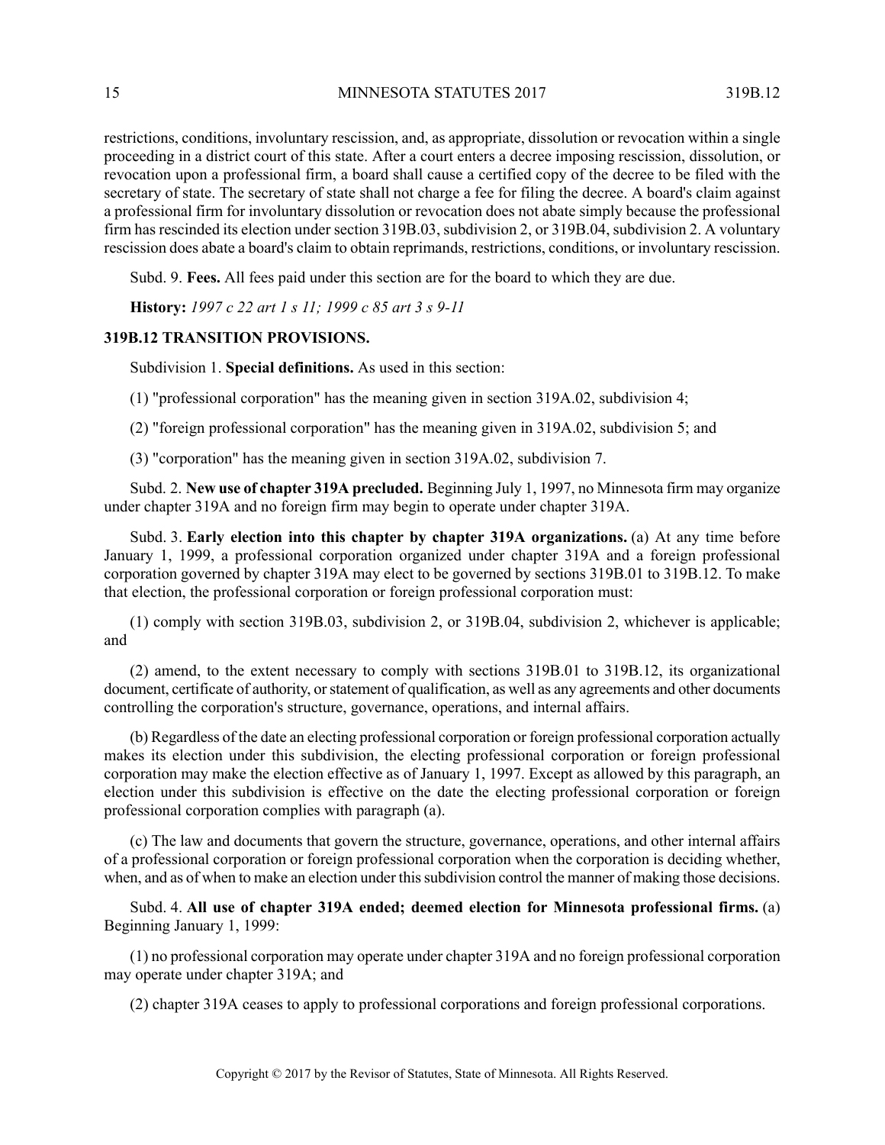restrictions, conditions, involuntary rescission, and, as appropriate, dissolution or revocation within a single proceeding in a district court of this state. After a court enters a decree imposing rescission, dissolution, or revocation upon a professional firm, a board shall cause a certified copy of the decree to be filed with the secretary of state. The secretary of state shall not charge a fee for filing the decree. A board's claim against a professional firm for involuntary dissolution or revocation does not abate simply because the professional firm has rescinded its election under section 319B.03, subdivision 2, or 319B.04, subdivision 2. A voluntary rescission does abate a board's claim to obtain reprimands, restrictions, conditions, or involuntary rescission.

Subd. 9. **Fees.** All fees paid under this section are for the board to which they are due.

<span id="page-14-0"></span>**History:** *1997 c 22 art 1 s 11; 1999 c 85 art 3 s 9-11*

## **319B.12 TRANSITION PROVISIONS.**

Subdivision 1. **Special definitions.** As used in this section:

(1) "professional corporation" has the meaning given in section 319A.02, subdivision 4;

(2) "foreign professional corporation" has the meaning given in 319A.02, subdivision 5; and

(3) "corporation" has the meaning given in section 319A.02, subdivision 7.

Subd. 2. **New use of chapter 319A precluded.** Beginning July 1, 1997, no Minnesota firm may organize under chapter 319A and no foreign firm may begin to operate under chapter 319A.

Subd. 3. **Early election into this chapter by chapter 319A organizations.** (a) At any time before January 1, 1999, a professional corporation organized under chapter 319A and a foreign professional corporation governed by chapter 319A may elect to be governed by sections 319B.01 to 319B.12. To make that election, the professional corporation or foreign professional corporation must:

(1) comply with section 319B.03, subdivision 2, or 319B.04, subdivision 2, whichever is applicable; and

(2) amend, to the extent necessary to comply with sections 319B.01 to 319B.12, its organizational document, certificate of authority, or statement of qualification, as well as any agreements and other documents controlling the corporation's structure, governance, operations, and internal affairs.

(b) Regardless of the date an electing professional corporation or foreign professional corporation actually makes its election under this subdivision, the electing professional corporation or foreign professional corporation may make the election effective as of January 1, 1997. Except as allowed by this paragraph, an election under this subdivision is effective on the date the electing professional corporation or foreign professional corporation complies with paragraph (a).

(c) The law and documents that govern the structure, governance, operations, and other internal affairs of a professional corporation or foreign professional corporation when the corporation is deciding whether, when, and as of when to make an election under this subdivision control the manner of making those decisions.

Subd. 4. **All use of chapter 319A ended; deemed election for Minnesota professional firms.** (a) Beginning January 1, 1999:

(1) no professional corporation may operate under chapter 319A and no foreign professional corporation may operate under chapter 319A; and

(2) chapter 319A ceases to apply to professional corporations and foreign professional corporations.